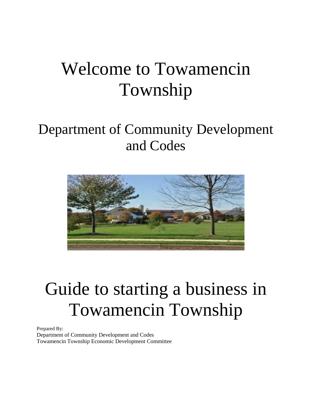# Welcome to Towamencin Township

## Department of Community Development and Codes



# Guide to starting a business in Towamencin Township

Prepared By: Department of Community Development and Codes Towamencin Township Economic Development Committee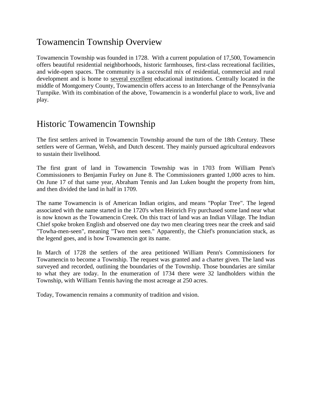## Towamencin Township Overview

Towamencin Township was founded in 1728. With a current population of 17,500, Towamencin offers beautiful residential neighborhoods, historic farmhouses, first-class recreational facilities, and wide-open spaces. The community is a successful mix of residential, commercial and rural development and is home to several excellent educational institutions. Centrally located in the middle of Montgomery County, Towamencin offers access to an Interchange of the Pennsylvania Turnpike. With its combination of the above, Towamencin is a wonderful place to work, live and play.

### Historic Towamencin Township

The first settlers arrived in Towamencin Township around the turn of the 18th Century. These settlers were of German, Welsh, and Dutch descent. They mainly pursued agricultural endeavors to sustain their livelihood.

The first grant of land in Towamencin Township was in 1703 from William Penn's Commissioners to Benjamin Furley on June 8. The Commissioners granted 1,000 acres to him. On June 17 of that same year, Abraham Tennis and Jan Luken bought the property from him, and then divided the land in half in 1709.

The name Towamencin is of American Indian origins, and means "Poplar Tree". The legend associated with the name started in the 1720's when Heinrich Fry purchased some land near what is now known as the Towamencin Creek. On this tract of land was an Indian Village. The Indian Chief spoke broken English and observed one day two men clearing trees near the creek and said "Towha-men-seen", meaning "Two men seen." Apparently, the Chief's pronunciation stuck, as the legend goes, and is how Towamencin got its name.

In March of 1728 the settlers of the area petitioned William Penn's Commissioners for Towamencin to become a Township. The request was granted and a charter given. The land was surveyed and recorded, outlining the boundaries of the Township. Those boundaries are similar to what they are today. In the enumeration of 1734 there were 32 landholders within the Township, with William Tennis having the most acreage at 250 acres.

Today, Towamencin remains a community of tradition and vision.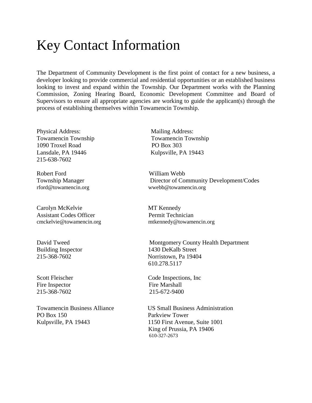## Key Contact Information

The Department of Community Development is the first point of contact for a new business, a developer looking to provide commercial and residential opportunities or an established business looking to invest and expand within the Township. Our Department works with the Planning Commission, Zoning Hearing Board, Economic Development Committee and Board of Supervisors to ensure all appropriate agencies are working to guide the applicant(s) through the process of establishing themselves within Towamencin Township.

Physical Address: Mailing Address: Towamencin Township Towamencin Township 1090 Troxel Road PO Box 303 Lansdale, PA 19446 Kulpsville, PA 19443 215-638-7602

Robert Ford William Webb

Carolyn McKelvie MT Kennedy Assistant Codes Officer **Permit Technician** 

Fire Inspector Fire Marshall 215-368-7602 215-672-9400

PO Box 150 Parkview Tower Kulpsville, PA 19443 1150 First Avenue, Suite 1001

Township Manager Director of Community Development/Codes [rford@towamencin.org](mailto:rford@towamencin.org) wwebb@towamencin.org

[cmckelvie@towamencin.org](mailto:cmckelvie@towamencin.org) mtkennedy@towamencin.org

David Tweed Montgomery County Health Department Building Inspector 1430 DeKalb Street 215-368-7602 Norristown, Pa 19404 610.278.5117

Scott Fleischer Code Inspections, Inc

Towamencin Business Alliance US Small Business Administration King of Prussia, PA 19406 610-327-2673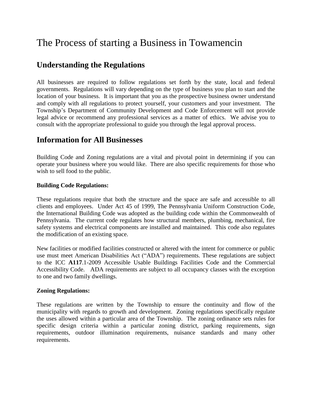## The Process of starting a Business in Towamencin

#### **Understanding the Regulations**

All businesses are required to follow regulations set forth by the state, local and federal governments. Regulations will vary depending on the type of business you plan to start and the location of your business. It is important that you as the prospective business owner understand and comply with all regulations to protect yourself, your customers and your investment. The Township's Department of Community Development and Code Enforcement will not provide legal advice or recommend any professional services as a matter of ethics. We advise you to consult with the appropriate professional to guide you through the legal approval process.

#### **Information for All Businesses**

Building Code and Zoning regulations are a vital and pivotal point in determining if you can operate your business where you would like. There are also specific requirements for those who wish to sell food to the public.

#### **Building Code Regulations:**

These regulations require that both the structure and the space are safe and accessible to all clients and employees. Under Act 45 of 1999, The Pennsylvania Uniform Construction Code, the International Building Code was adopted as the building code within the Commonwealth of Pennsylvania. The current code regulates how structural members, plumbing, mechanical, fire safety systems and electrical components are installed and maintained. This code also regulates the modification of an existing space.

New facilities or modified facilities constructed or altered with the intent for commerce or public use must meet American Disabilities Act ("ADA") requirements. These regulations are subject to the ICC **A117**[.1-2009 Accessible Usable Buildings Facilities](https://www.google.com/url?q=http://webstore.ansi.org/RecordDetail.aspx%3Fsku%3DICC%2BA117.1-2009&sa=U&ei=SsXKUoO2E-eo2gWUi4CACg&ved=0CAkQFjAC&client=internal-uds-cse&usg=AFQjCNGPG1WeAnsrUfrV79SH5AQw7FCnCw) Code and the Commercial Accessibility Code. ADA requirements are subject to all occupancy classes with the exception to one and two family dwellings.

#### **Zoning Regulations:**

These regulations are written by the Township to ensure the continuity and flow of the municipality with regards to growth and development. Zoning regulations specifically regulate the uses allowed within a particular area of the Township. The zoning ordinance sets rules for specific design criteria within a particular zoning district, parking requirements, sign requirements, outdoor illumination requirements, nuisance standards and many other requirements.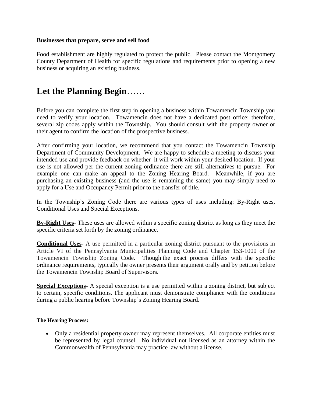#### **Businesses that prepare, serve and sell food**

Food establishment are highly regulated to protect the public. Please contact the Montgomery County Department of Health for specific regulations and requirements prior to opening a new business or acquiring an existing business.

## **Let the Planning Begin**……

Before you can complete the first step in opening a business within Towamencin Township you need to verify your location. Towamencin does not have a dedicated post office; therefore, several zip codes apply within the Township. You should consult with the property owner or their agent to confirm the location of the prospective business.

After confirming your location, we recommend that you contact the Towamencin Township Department of Community Development. We are happy to schedule a meeting to discuss your intended use and provide feedback on whether it will work within your desired location. If your use is not allowed per the current zoning ordinance there are still alternatives to pursue. For example one can make an appeal to the Zoning Hearing Board. Meanwhile, if you are purchasing an existing business (and the use is remaining the same) you may simply need to apply for a Use and Occupancy Permit prior to the transfer of title.

In the Township's Zoning Code there are various types of uses including: By-Right uses, Conditional Uses and Special Exceptions.

**By-Right Uses-** These uses are allowed within a specific zoning district as long as they meet the specific criteria set forth by the zoning ordinance.

**Conditional Uses-** A use permitted in a particular zoning district pursuant to the provisions in Article VI of the Pennsylvania Municipalities Planning Code and Chapter 153-1000 of the Towamencin Township Zoning Code. Though the exact process differs with the specific ordinance requirements, typically the owner presents their argument orally and by petition before the Towamencin Township Board of Supervisors.

**Special Exceptions-** A special exception is a use permitted within a zoning district, but subject to certain, specific conditions. The applicant must demonstrate compliance with the conditions during a public hearing before Township's Zoning Hearing Board.

#### **The Hearing Process:**

• Only a residential property owner may represent themselves. All corporate entities must be represented by legal counsel. No individual not licensed as an attorney within the Commonwealth of Pennsylvania may practice law without a license.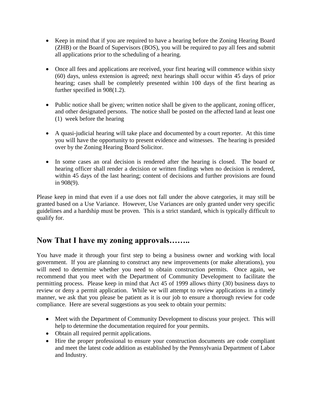- Keep in mind that if you are required to have a hearing before the Zoning Hearing Board (ZHB) or the Board of Supervisors (BOS), you will be required to pay all fees and submit all applications prior to the scheduling of a hearing.
- Once all fees and applications are received, your first hearing will commence within sixty (60) days, unless extension is agreed; next hearings shall occur within 45 days of prior hearing; cases shall be completely presented within 100 days of the first hearing as further specified in 908(1.2).
- Public notice shall be given; written notice shall be given to the applicant, zoning officer, and other designated persons. The notice shall be posted on the affected land at least one (1) week before the hearing
- A quasi-judicial hearing will take place and documented by a court reporter. At this time you will have the opportunity to present evidence and witnesses. The hearing is presided over by the Zoning Hearing Board Solicitor.
- In some cases an oral decision is rendered after the hearing is closed. The board or hearing officer shall render a decision or written findings when no decision is rendered, within 45 days of the last hearing; content of decisions and further provisions are found in 908(9).

Please keep in mind that even if a use does not fall under the above categories, it may still be granted based on a Use Variance. However, Use Variances are only granted under very specific guidelines and a hardship must be proven. This is a strict standard, which is typically difficult to qualify for.

### **Now That I have my zoning approvals……..**

You have made it through your first step to being a business owner and working with local government. If you are planning to construct any new improvements (or make alterations), you will need to determine whether you need to obtain construction permits. Once again, we recommend that you meet with the Department of Community Development to facilitate the permitting process. Please keep in mind that Act 45 of 1999 allows thirty (30) business days to review or deny a permit application. While we will attempt to review applications in a timely manner, we ask that you please be patient as it is our job to ensure a thorough review for code compliance. Here are several suggestions as you seek to obtain your permits:

- Meet with the Department of Community Development to discuss your project. This will help to determine the documentation required for your permits.
- Obtain all required permit applications.
- Hire the proper professional to ensure your construction documents are code compliant and meet the latest code addition as established by the Pennsylvania Department of Labor and Industry.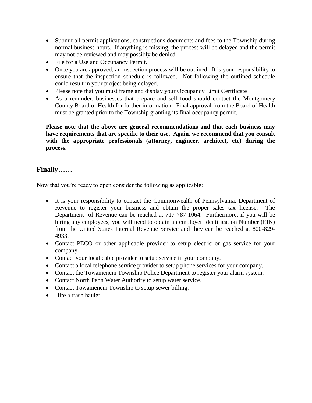- Submit all permit applications, constructions documents and fees to the Township during normal business hours. If anything is missing, the process will be delayed and the permit may not be reviewed and may possibly be denied.
- File for a Use and Occupancy Permit.
- Once you are approved, an inspection process will be outlined. It is your responsibility to ensure that the inspection schedule is followed. Not following the outlined schedule could result in your project being delayed.
- Please note that you must frame and display your Occupancy Limit Certificate
- As a reminder, businesses that prepare and sell food should contact the Montgomery County Board of Health for further information. Final approval from the Board of Health must be granted prior to the Township granting its final occupancy permit.

**Please note that the above are general recommendations and that each business may have requirements that are specific to their use. Again, we recommend that you consult with the appropriate professionals (attorney, engineer, architect, etc) during the process.**

#### **Finally……**

Now that you're ready to open consider the following as applicable:

- It is your responsibility to contact the Commonwealth of Pennsylvania, Department of Revenue to register your business and obtain the proper sales tax license. The Department of Revenue can be reached at 717-787-1064. Furthermore, if you will be hiring any employees, you will need to obtain an employer Identification Number (EIN) from the United States Internal Revenue Service and they can be reached at 800-829- 4933.
- Contact PECO or other applicable provider to setup electric or gas service for your company.
- Contact your local cable provider to setup service in your company.
- Contact a local telephone service provider to setup phone services for your company.
- Contact the Towamencin Township Police Department to register your alarm system.
- Contact North Penn Water Authority to setup water service.
- Contact Towamencin Township to setup sewer billing.
- Hire a trash hauler.